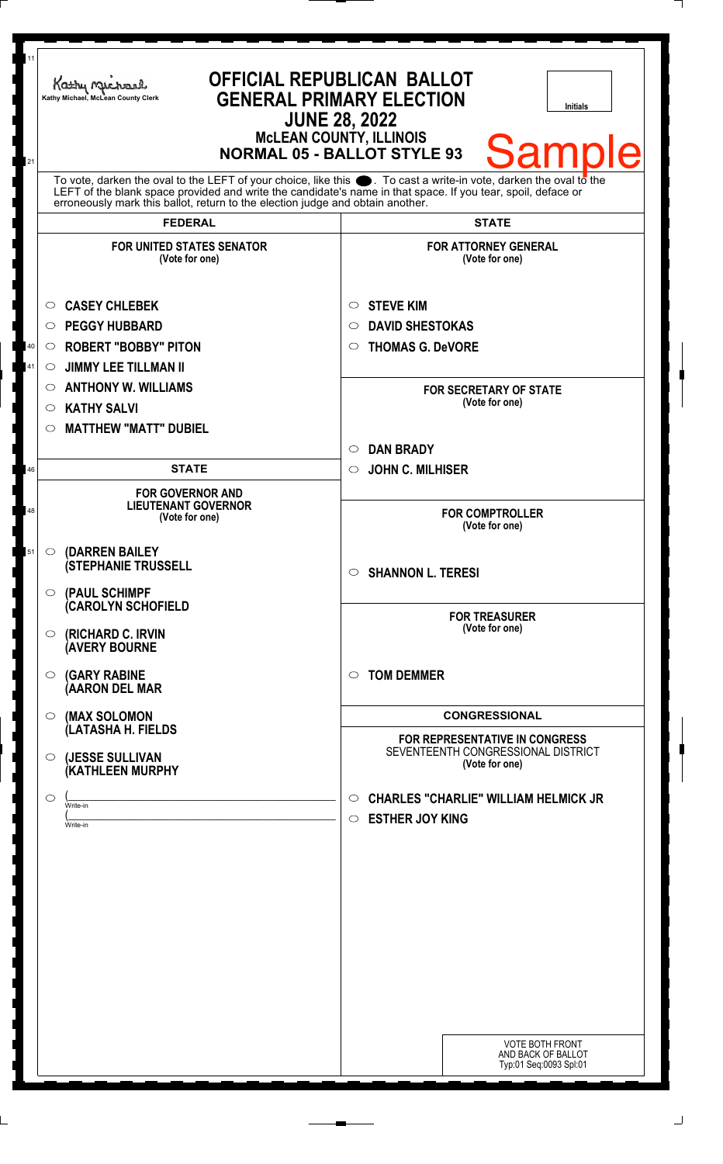| 11<br>21 | <b>OFFICIAL REPUBLICAN BALLOT</b><br>Kathy Michael<br><b>GENERAL PRIMARY ELECTION</b><br>Kathy Michael, McLean County Clerk<br><b>Initials</b><br><b>JUNE 28, 2022</b><br><b>MCLEAN COUNTY, ILLINOIS</b><br><b>Sample</b><br><b>NORMAL 05 - BALLOT STYLE 93</b>                                                        |                                                                                        |
|----------|------------------------------------------------------------------------------------------------------------------------------------------------------------------------------------------------------------------------------------------------------------------------------------------------------------------------|----------------------------------------------------------------------------------------|
|          | To vote, darken the oval to the LEFT of your choice, like this $\bullet$ . To cast a write-in vote, darken the oval to the LEFT of the blank space provided and write the candidate's name in that space. If you tear, spoil, deface<br>erroneously mark this ballot, return to the election judge and obtain another. |                                                                                        |
|          | <b>FEDERAL</b>                                                                                                                                                                                                                                                                                                         | <b>STATE</b>                                                                           |
|          | <b>FOR UNITED STATES SENATOR</b><br>(Vote for one)                                                                                                                                                                                                                                                                     | <b>FOR ATTORNEY GENERAL</b><br>(Vote for one)                                          |
|          | <b>CASEY CHLEBEK</b><br>$\circ$                                                                                                                                                                                                                                                                                        | <b>STEVE KIM</b><br>$\circ$                                                            |
|          | <b>PEGGY HUBBARD</b><br>$\circ$                                                                                                                                                                                                                                                                                        | <b>DAVID SHESTOKAS</b><br>$\circ$                                                      |
| 40       | <b>ROBERT "BOBBY" PITON</b><br>$\circ$                                                                                                                                                                                                                                                                                 | <b>THOMAS G. DeVORE</b><br>$\circ$                                                     |
| 41       | <b>JIMMY LEE TILLMAN II</b><br>O                                                                                                                                                                                                                                                                                       |                                                                                        |
|          | <b>ANTHONY W. WILLIAMS</b><br>O                                                                                                                                                                                                                                                                                        | <b>FOR SECRETARY OF STATE</b>                                                          |
|          | <b>KATHY SALVI</b><br>$\circ$                                                                                                                                                                                                                                                                                          | (Vote for one)                                                                         |
|          | <b>MATTHEW "MATT" DUBIEL</b><br>$\circlearrowright$                                                                                                                                                                                                                                                                    |                                                                                        |
|          |                                                                                                                                                                                                                                                                                                                        | <b>DAN BRADY</b><br>$\circ$                                                            |
| 46       | <b>STATE</b>                                                                                                                                                                                                                                                                                                           | <b>JOHN C. MILHISER</b><br>$\circ$                                                     |
| 48       | <b>FOR GOVERNOR AND</b><br><b>LIEUTENANT GOVERNOR</b><br>(Vote for one)                                                                                                                                                                                                                                                | <b>FOR COMPTROLLER</b><br>(Vote for one)                                               |
| 51       | (DARREN BAILEY<br>O<br><b>(STEPHANIE TRUSSELL</b>                                                                                                                                                                                                                                                                      | <b>SHANNON L. TERESI</b><br>$\bigcirc$                                                 |
|          | $\circ$ (PAUL SCHIMPF<br><b>CAROLYN SCHOFIELD</b><br>$\circ$ (RICHARD C. IRVIN<br><b>(AVERY BOURNE</b>                                                                                                                                                                                                                 | <b>FOR TREASURER</b><br>(Vote for one)                                                 |
|          | <b>(GARY RABINE</b><br>$\circ$<br>(AARON DEL MAR                                                                                                                                                                                                                                                                       | <b>TOM DEMMER</b><br>$\circ$                                                           |
|          | (MAX SOLOMON<br>$\bigcirc$                                                                                                                                                                                                                                                                                             | <b>CONGRESSIONAL</b>                                                                   |
|          | (LATASHA H. FIELDS<br>$\circ$ (JESSE SULLIVAN                                                                                                                                                                                                                                                                          | FOR REPRESENTATIVE IN CONGRESS<br>SEVENTEENTH CONGRESSIONAL DISTRICT<br>(Vote for one) |
|          | <b>(KATHLEEN MURPHY</b>                                                                                                                                                                                                                                                                                                |                                                                                        |
|          | $\circ$<br>Write-in<br>Write-in                                                                                                                                                                                                                                                                                        | <b>CHARLES "CHARLIE" WILLIAM HELMICK JR</b><br>O<br><b>ESTHER JOY KING</b><br>$\circ$  |
|          |                                                                                                                                                                                                                                                                                                                        |                                                                                        |
|          |                                                                                                                                                                                                                                                                                                                        |                                                                                        |
|          |                                                                                                                                                                                                                                                                                                                        |                                                                                        |
|          |                                                                                                                                                                                                                                                                                                                        |                                                                                        |
|          |                                                                                                                                                                                                                                                                                                                        | <b>VOTE BOTH FRONT</b><br>AND BACK OF BALLOT<br>Typ:01 Seq:0093 Spl:01                 |